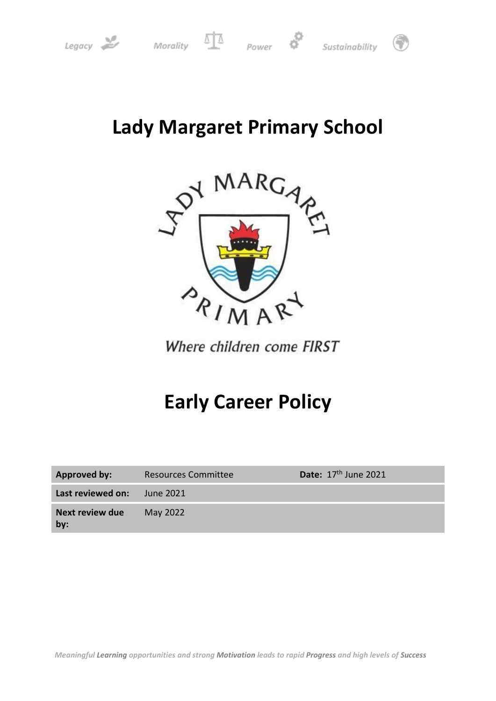



# **Lady Margaret Primary School**



Where children come FIRST

# **Early Career Policy**

| <b>Approved by:</b>           | <b>Resources Committee</b> | Date: $17th$ June 2021 |
|-------------------------------|----------------------------|------------------------|
| Last reviewed on:             | June 2021                  |                        |
| <b>Next review due</b><br>by: | May 2022                   |                        |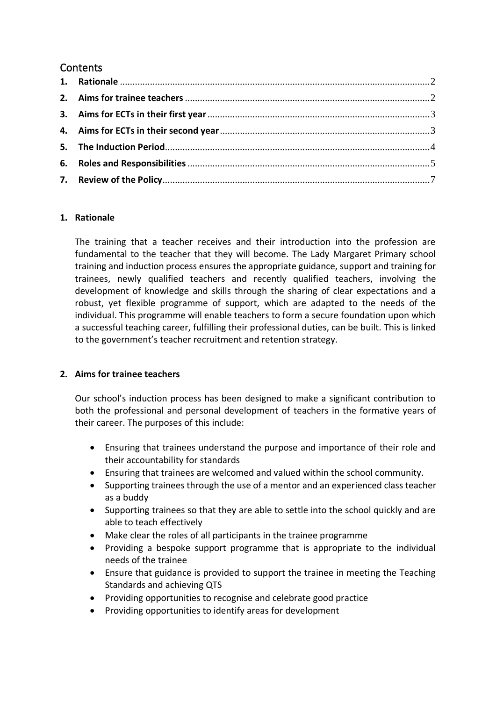# **Contents**

## <span id="page-1-0"></span>**1. Rationale**

The training that a teacher receives and their introduction into the profession are fundamental to the teacher that they will become. The Lady Margaret Primary school training and induction process ensures the appropriate guidance, support and training for trainees, newly qualified teachers and recently qualified teachers, involving the development of knowledge and skills through the sharing of clear expectations and a robust, yet flexible programme of support, which are adapted to the needs of the individual. This programme will enable teachers to form a secure foundation upon which a successful teaching career, fulfilling their professional duties, can be built. This is linked to the government's teacher recruitment and retention strategy.

#### <span id="page-1-1"></span>**2. Aims for trainee teachers**

Our school's induction process has been designed to make a significant contribution to both the professional and personal development of teachers in the formative years of their career. The purposes of this include:

- Ensuring that trainees understand the purpose and importance of their role and their accountability for standards
- Ensuring that trainees are welcomed and valued within the school community.
- Supporting trainees through the use of a mentor and an experienced class teacher as a buddy
- Supporting trainees so that they are able to settle into the school quickly and are able to teach effectively
- Make clear the roles of all participants in the trainee programme
- Providing a bespoke support programme that is appropriate to the individual needs of the trainee
- Ensure that guidance is provided to support the trainee in meeting the Teaching Standards and achieving QTS
- Providing opportunities to recognise and celebrate good practice
- Providing opportunities to identify areas for development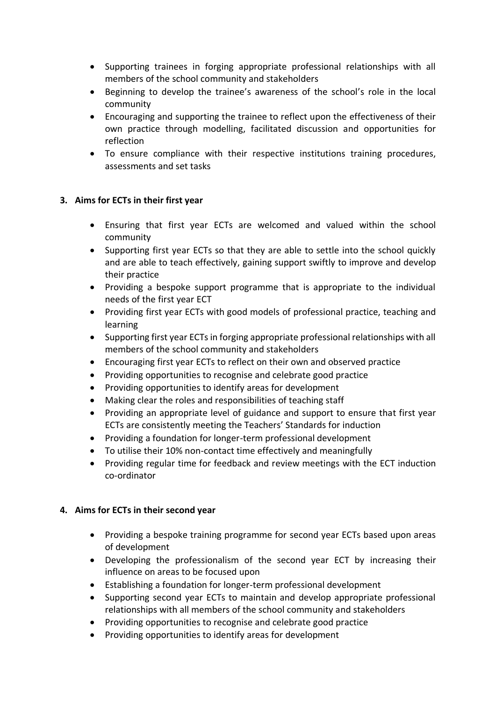- Supporting trainees in forging appropriate professional relationships with all members of the school community and stakeholders
- Beginning to develop the trainee's awareness of the school's role in the local community
- Encouraging and supporting the trainee to reflect upon the effectiveness of their own practice through modelling, facilitated discussion and opportunities for reflection
- To ensure compliance with their respective institutions training procedures, assessments and set tasks

#### <span id="page-2-0"></span>**3. Aims for ECTs in their first year**

- Ensuring that first year ECTs are welcomed and valued within the school community
- Supporting first year ECTs so that they are able to settle into the school quickly and are able to teach effectively, gaining support swiftly to improve and develop their practice
- Providing a bespoke support programme that is appropriate to the individual needs of the first year ECT
- Providing first year ECTs with good models of professional practice, teaching and learning
- Supporting first year ECTs in forging appropriate professional relationships with all members of the school community and stakeholders
- Encouraging first year ECTs to reflect on their own and observed practice
- Providing opportunities to recognise and celebrate good practice
- Providing opportunities to identify areas for development
- Making clear the roles and responsibilities of teaching staff
- Providing an appropriate level of guidance and support to ensure that first year ECTs are consistently meeting the Teachers' Standards for induction
- Providing a foundation for longer-term professional development
- To utilise their 10% non-contact time effectively and meaningfully
- Providing regular time for feedback and review meetings with the ECT induction co-ordinator

#### <span id="page-2-1"></span>**4. Aims for ECTs in their second year**

- Providing a bespoke training programme for second year ECTs based upon areas of development
- Developing the professionalism of the second year ECT by increasing their influence on areas to be focused upon
- Establishing a foundation for longer-term professional development
- Supporting second year ECTs to maintain and develop appropriate professional relationships with all members of the school community and stakeholders
- Providing opportunities to recognise and celebrate good practice
- Providing opportunities to identify areas for development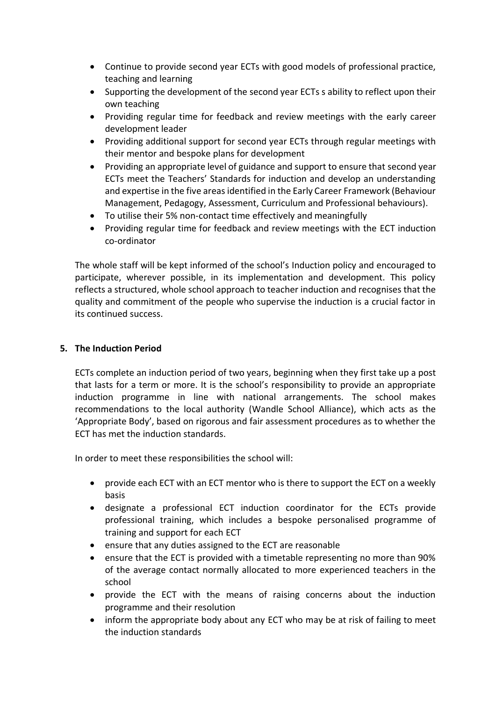- Continue to provide second year ECTs with good models of professional practice, teaching and learning
- Supporting the development of the second year ECTs s ability to reflect upon their own teaching
- Providing regular time for feedback and review meetings with the early career development leader
- Providing additional support for second year ECTs through regular meetings with their mentor and bespoke plans for development
- Providing an appropriate level of guidance and support to ensure that second year ECTs meet the Teachers' Standards for induction and develop an understanding and expertise in the five areas identified in the Early Career Framework (Behaviour Management, Pedagogy, Assessment, Curriculum and Professional behaviours).
- To utilise their 5% non-contact time effectively and meaningfully
- Providing regular time for feedback and review meetings with the ECT induction co-ordinator

The whole staff will be kept informed of the school's Induction policy and encouraged to participate, wherever possible, in its implementation and development. This policy reflects a structured, whole school approach to teacher induction and recognises that the quality and commitment of the people who supervise the induction is a crucial factor in its continued success.

#### <span id="page-3-0"></span>**5. The Induction Period**

ECTs complete an induction period of two years, beginning when they first take up a post that lasts for a term or more. It is the school's responsibility to provide an appropriate induction programme in line with national arrangements. The school makes recommendations to the local authority (Wandle School Alliance), which acts as the 'Appropriate Body', based on rigorous and fair assessment procedures as to whether the ECT has met the induction standards.

In order to meet these responsibilities the school will:

- provide each ECT with an ECT mentor who is there to support the ECT on a weekly basis
- designate a professional ECT induction coordinator for the ECTs provide professional training, which includes a bespoke personalised programme of training and support for each ECT
- ensure that any duties assigned to the ECT are reasonable
- ensure that the ECT is provided with a timetable representing no more than 90% of the average contact normally allocated to more experienced teachers in the school
- provide the ECT with the means of raising concerns about the induction programme and their resolution
- inform the appropriate body about any ECT who may be at risk of failing to meet the induction standards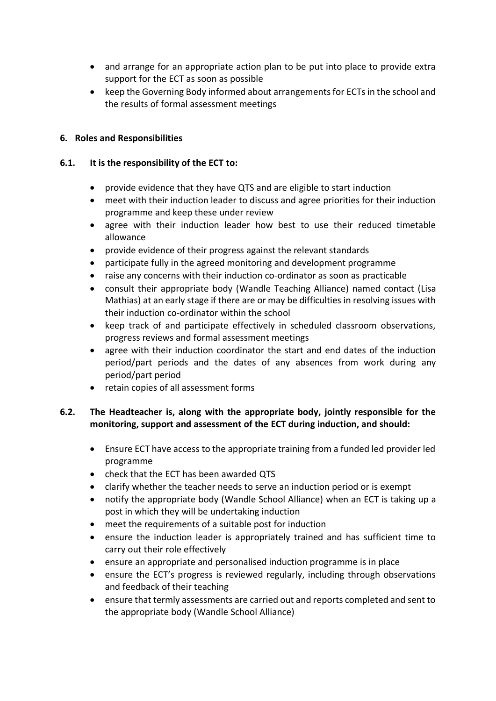- and arrange for an appropriate action plan to be put into place to provide extra support for the ECT as soon as possible
- keep the Governing Body informed about arrangements for ECTs in the school and the results of formal assessment meetings

#### <span id="page-4-0"></span>**6. Roles and Responsibilities**

#### **6.1. It is the responsibility of the ECT to:**

- provide evidence that they have QTS and are eligible to start induction
- meet with their induction leader to discuss and agree priorities for their induction programme and keep these under review
- agree with their induction leader how best to use their reduced timetable allowance
- provide evidence of their progress against the relevant standards
- participate fully in the agreed monitoring and development programme
- raise any concerns with their induction co-ordinator as soon as practicable
- consult their appropriate body (Wandle Teaching Alliance) named contact (Lisa Mathias) at an early stage if there are or may be difficulties in resolving issues with their induction co-ordinator within the school
- keep track of and participate effectively in scheduled classroom observations, progress reviews and formal assessment meetings
- agree with their induction coordinator the start and end dates of the induction period/part periods and the dates of any absences from work during any period/part period
- retain copies of all assessment forms

## **6.2. The Headteacher is, along with the appropriate body, jointly responsible for the monitoring, support and assessment of the ECT during induction, and should:**

- Ensure ECT have access to the appropriate training from a funded led provider led programme
- check that the ECT has been awarded QTS
- clarify whether the teacher needs to serve an induction period or is exempt
- notify the appropriate body (Wandle School Alliance) when an ECT is taking up a post in which they will be undertaking induction
- meet the requirements of a suitable post for induction
- ensure the induction leader is appropriately trained and has sufficient time to carry out their role effectively
- ensure an appropriate and personalised induction programme is in place
- ensure the ECT's progress is reviewed regularly, including through observations and feedback of their teaching
- ensure that termly assessments are carried out and reports completed and sent to the appropriate body (Wandle School Alliance)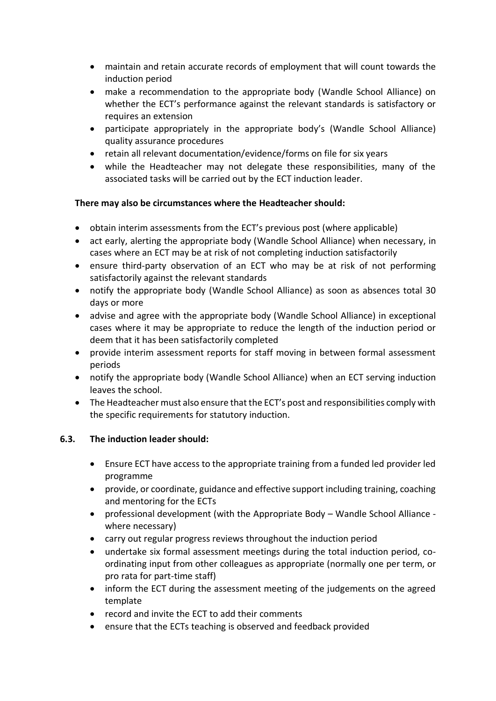- maintain and retain accurate records of employment that will count towards the induction period
- make a recommendation to the appropriate body (Wandle School Alliance) on whether the ECT's performance against the relevant standards is satisfactory or requires an extension
- participate appropriately in the appropriate body's (Wandle School Alliance) quality assurance procedures
- retain all relevant documentation/evidence/forms on file for six years
- while the Headteacher may not delegate these responsibilities, many of the associated tasks will be carried out by the ECT induction leader.

#### **There may also be circumstances where the Headteacher should:**

- obtain interim assessments from the ECT's previous post (where applicable)
- act early, alerting the appropriate body (Wandle School Alliance) when necessary, in cases where an ECT may be at risk of not completing induction satisfactorily
- ensure third-party observation of an ECT who may be at risk of not performing satisfactorily against the relevant standards
- notify the appropriate body (Wandle School Alliance) as soon as absences total 30 days or more
- advise and agree with the appropriate body (Wandle School Alliance) in exceptional cases where it may be appropriate to reduce the length of the induction period or deem that it has been satisfactorily completed
- provide interim assessment reports for staff moving in between formal assessment periods
- notify the appropriate body (Wandle School Alliance) when an ECT serving induction leaves the school.
- The Headteacher must also ensure that the ECT's post and responsibilities comply with the specific requirements for statutory induction.

#### **6.3. The induction leader should:**

- Ensure ECT have access to the appropriate training from a funded led provider led programme
- provide, or coordinate, guidance and effective support including training, coaching and mentoring for the ECTs
- professional development (with the Appropriate Body Wandle School Alliance where necessary)
- carry out regular progress reviews throughout the induction period
- undertake six formal assessment meetings during the total induction period, coordinating input from other colleagues as appropriate (normally one per term, or pro rata for part-time staff)
- inform the ECT during the assessment meeting of the judgements on the agreed template
- record and invite the ECT to add their comments
- ensure that the ECTs teaching is observed and feedback provided